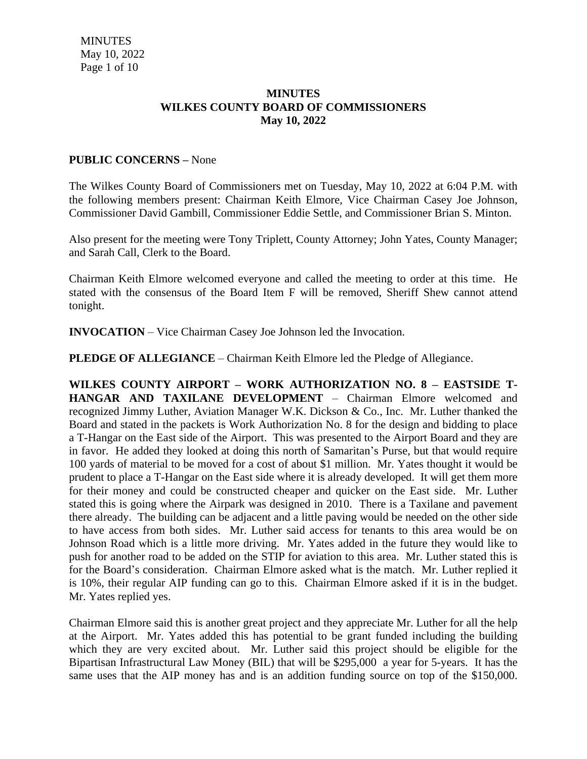#### **MINUTES WILKES COUNTY BOARD OF COMMISSIONERS May 10, 2022**

### **PUBLIC CONCERNS –** None

The Wilkes County Board of Commissioners met on Tuesday, May 10, 2022 at 6:04 P.M. with the following members present: Chairman Keith Elmore, Vice Chairman Casey Joe Johnson, Commissioner David Gambill, Commissioner Eddie Settle, and Commissioner Brian S. Minton.

Also present for the meeting were Tony Triplett, County Attorney; John Yates, County Manager; and Sarah Call, Clerk to the Board.

Chairman Keith Elmore welcomed everyone and called the meeting to order at this time. He stated with the consensus of the Board Item F will be removed, Sheriff Shew cannot attend tonight.

**INVOCATION** – Vice Chairman Casey Joe Johnson led the Invocation.

**PLEDGE OF ALLEGIANCE** – Chairman Keith Elmore led the Pledge of Allegiance.

**WILKES COUNTY AIRPORT – WORK AUTHORIZATION NO. 8 – EASTSIDE T-HANGAR AND TAXILANE DEVELOPMENT** – Chairman Elmore welcomed and recognized Jimmy Luther, Aviation Manager W.K. Dickson & Co., Inc. Mr. Luther thanked the Board and stated in the packets is Work Authorization No. 8 for the design and bidding to place a T-Hangar on the East side of the Airport. This was presented to the Airport Board and they are in favor. He added they looked at doing this north of Samaritan's Purse, but that would require 100 yards of material to be moved for a cost of about \$1 million. Mr. Yates thought it would be prudent to place a T-Hangar on the East side where it is already developed. It will get them more for their money and could be constructed cheaper and quicker on the East side. Mr. Luther stated this is going where the Airpark was designed in 2010. There is a Taxilane and pavement there already. The building can be adjacent and a little paving would be needed on the other side to have access from both sides. Mr. Luther said access for tenants to this area would be on Johnson Road which is a little more driving. Mr. Yates added in the future they would like to push for another road to be added on the STIP for aviation to this area. Mr. Luther stated this is for the Board's consideration. Chairman Elmore asked what is the match. Mr. Luther replied it is 10%, their regular AIP funding can go to this. Chairman Elmore asked if it is in the budget. Mr. Yates replied yes.

Chairman Elmore said this is another great project and they appreciate Mr. Luther for all the help at the Airport. Mr. Yates added this has potential to be grant funded including the building which they are very excited about. Mr. Luther said this project should be eligible for the Bipartisan Infrastructural Law Money (BIL) that will be \$295,000 a year for 5-years. It has the same uses that the AIP money has and is an addition funding source on top of the \$150,000.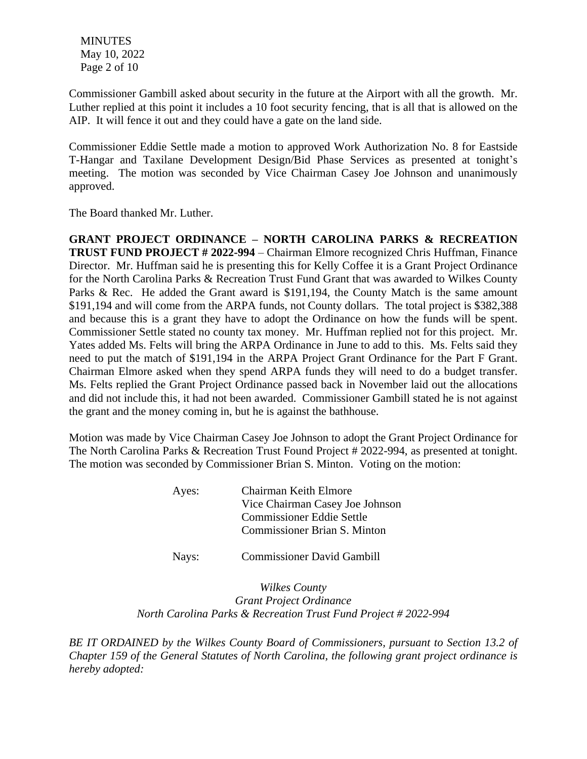**MINUTES**  May 10, 2022 Page 2 of 10

Commissioner Gambill asked about security in the future at the Airport with all the growth. Mr. Luther replied at this point it includes a 10 foot security fencing, that is all that is allowed on the AIP. It will fence it out and they could have a gate on the land side.

Commissioner Eddie Settle made a motion to approved Work Authorization No. 8 for Eastside T-Hangar and Taxilane Development Design/Bid Phase Services as presented at tonight's meeting. The motion was seconded by Vice Chairman Casey Joe Johnson and unanimously approved.

The Board thanked Mr. Luther.

**GRANT PROJECT ORDINANCE – NORTH CAROLINA PARKS & RECREATION TRUST FUND PROJECT # 2022-994** – Chairman Elmore recognized Chris Huffman, Finance Director. Mr. Huffman said he is presenting this for Kelly Coffee it is a Grant Project Ordinance for the North Carolina Parks & Recreation Trust Fund Grant that was awarded to Wilkes County Parks & Rec. He added the Grant award is \$191,194, the County Match is the same amount \$191,194 and will come from the ARPA funds, not County dollars. The total project is \$382,388 and because this is a grant they have to adopt the Ordinance on how the funds will be spent. Commissioner Settle stated no county tax money. Mr. Huffman replied not for this project. Mr. Yates added Ms. Felts will bring the ARPA Ordinance in June to add to this. Ms. Felts said they need to put the match of \$191,194 in the ARPA Project Grant Ordinance for the Part F Grant. Chairman Elmore asked when they spend ARPA funds they will need to do a budget transfer. Ms. Felts replied the Grant Project Ordinance passed back in November laid out the allocations and did not include this, it had not been awarded. Commissioner Gambill stated he is not against the grant and the money coming in, but he is against the bathhouse.

Motion was made by Vice Chairman Casey Joe Johnson to adopt the Grant Project Ordinance for The North Carolina Parks & Recreation Trust Found Project # 2022-994, as presented at tonight. The motion was seconded by Commissioner Brian S. Minton. Voting on the motion:

| Ayes: | Chairman Keith Elmore               |
|-------|-------------------------------------|
|       | Vice Chairman Casey Joe Johnson     |
|       | <b>Commissioner Eddie Settle</b>    |
|       | <b>Commissioner Brian S. Minton</b> |
|       |                                     |

Nays: Commissioner David Gambill

*Wilkes County Grant Project Ordinance North Carolina Parks & Recreation Trust Fund Project # 2022-994*

*BE IT ORDAINED by the Wilkes County Board of Commissioners, pursuant to Section 13.2 of Chapter 159 of the General Statutes of North Carolina, the following grant project ordinance is hereby adopted:*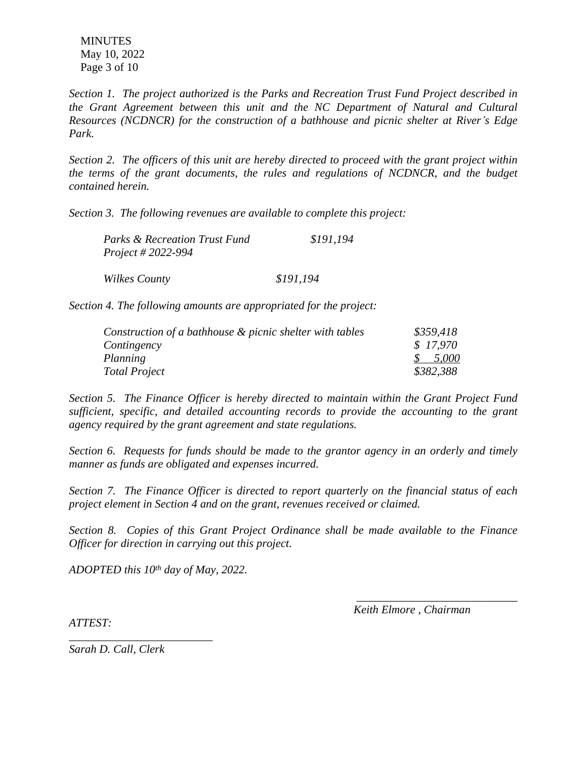**MINUTES**  May 10, 2022 Page 3 of 10

*Section 1. The project authorized is the Parks and Recreation Trust Fund Project described in the Grant Agreement between this unit and the NC Department of Natural and Cultural Resources (NCDNCR) for the construction of a bathhouse and picnic shelter at River's Edge Park.*

*Section 2. The officers of this unit are hereby directed to proceed with the grant project within the terms of the grant documents, the rules and regulations of NCDNCR, and the budget contained herein.*

*Section 3. The following revenues are available to complete this project:*

| <b>Parks &amp; Recreation Trust Fund</b> | \$191,194 |
|------------------------------------------|-----------|
| <i>Project # 2022-994</i>                |           |
| Wilkes County                            | \$191,194 |

*Section 4. The following amounts are appropriated for the project:*

| Construction of a bathhouse & picnic shelter with tables | \$359,418 |
|----------------------------------------------------------|-----------|
| Contingency                                              | \$17.970  |
| Planning                                                 | \$5,000   |
| Total Project                                            | \$382,388 |

*Section 5. The Finance Officer is hereby directed to maintain within the Grant Project Fund sufficient, specific, and detailed accounting records to provide the accounting to the grant agency required by the grant agreement and state regulations.*

*Section 6. Requests for funds should be made to the grantor agency in an orderly and timely manner as funds are obligated and expenses incurred.*

*Section 7. The Finance Officer is directed to report quarterly on the financial status of each project element in Section 4 and on the grant, revenues received or claimed.*

*Section 8. Copies of this Grant Project Ordinance shall be made available to the Finance Officer for direction in carrying out this project.*

*ADOPTED this 10th day of May, 2022.*

 *Keith Elmore , Chairman*

*\_\_\_\_\_\_\_\_\_\_\_\_\_\_\_\_\_\_\_\_\_\_\_\_\_\_\_\_*

*ATTEST:*

*Sarah D. Call, Clerk*

*\_\_\_\_\_\_\_\_\_\_\_\_\_\_\_\_\_\_\_\_\_\_\_\_\_*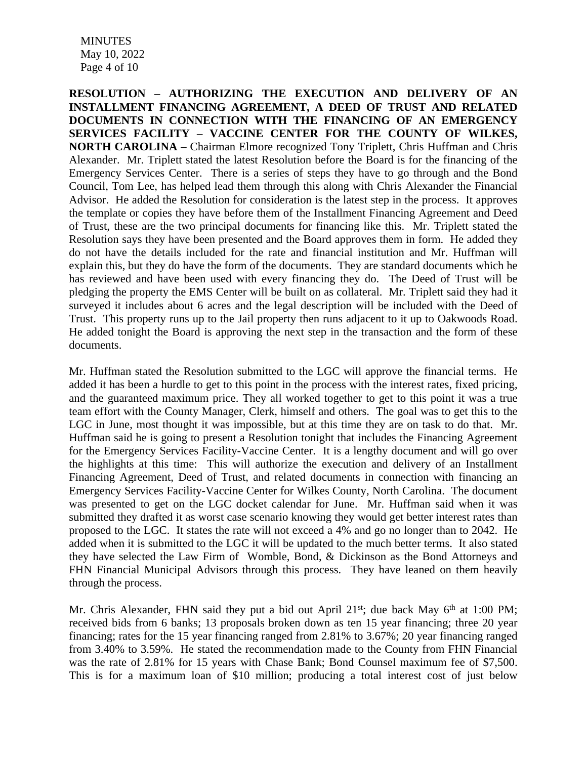**MINUTES**  May 10, 2022 Page 4 of 10

**RESOLUTION – AUTHORIZING THE EXECUTION AND DELIVERY OF AN INSTALLMENT FINANCING AGREEMENT, A DEED OF TRUST AND RELATED DOCUMENTS IN CONNECTION WITH THE FINANCING OF AN EMERGENCY SERVICES FACILITY – VACCINE CENTER FOR THE COUNTY OF WILKES, NORTH CAROLINA –** Chairman Elmore recognized Tony Triplett, Chris Huffman and Chris Alexander. Mr. Triplett stated the latest Resolution before the Board is for the financing of the Emergency Services Center. There is a series of steps they have to go through and the Bond Council, Tom Lee, has helped lead them through this along with Chris Alexander the Financial Advisor. He added the Resolution for consideration is the latest step in the process. It approves the template or copies they have before them of the Installment Financing Agreement and Deed of Trust, these are the two principal documents for financing like this. Mr. Triplett stated the Resolution says they have been presented and the Board approves them in form. He added they do not have the details included for the rate and financial institution and Mr. Huffman will explain this, but they do have the form of the documents. They are standard documents which he has reviewed and have been used with every financing they do. The Deed of Trust will be pledging the property the EMS Center will be built on as collateral. Mr. Triplett said they had it surveyed it includes about 6 acres and the legal description will be included with the Deed of Trust. This property runs up to the Jail property then runs adjacent to it up to Oakwoods Road. He added tonight the Board is approving the next step in the transaction and the form of these documents.

Mr. Huffman stated the Resolution submitted to the LGC will approve the financial terms. He added it has been a hurdle to get to this point in the process with the interest rates, fixed pricing, and the guaranteed maximum price. They all worked together to get to this point it was a true team effort with the County Manager, Clerk, himself and others. The goal was to get this to the LGC in June, most thought it was impossible, but at this time they are on task to do that. Mr. Huffman said he is going to present a Resolution tonight that includes the Financing Agreement for the Emergency Services Facility-Vaccine Center. It is a lengthy document and will go over the highlights at this time: This will authorize the execution and delivery of an Installment Financing Agreement, Deed of Trust, and related documents in connection with financing an Emergency Services Facility-Vaccine Center for Wilkes County, North Carolina. The document was presented to get on the LGC docket calendar for June. Mr. Huffman said when it was submitted they drafted it as worst case scenario knowing they would get better interest rates than proposed to the LGC. It states the rate will not exceed a 4% and go no longer than to 2042. He added when it is submitted to the LGC it will be updated to the much better terms. It also stated they have selected the Law Firm of Womble, Bond, & Dickinson as the Bond Attorneys and FHN Financial Municipal Advisors through this process. They have leaned on them heavily through the process.

Mr. Chris Alexander, FHN said they put a bid out April 21<sup>st</sup>; due back May 6<sup>th</sup> at 1:00 PM; received bids from 6 banks; 13 proposals broken down as ten 15 year financing; three 20 year financing; rates for the 15 year financing ranged from 2.81% to 3.67%; 20 year financing ranged from 3.40% to 3.59%. He stated the recommendation made to the County from FHN Financial was the rate of 2.81% for 15 years with Chase Bank; Bond Counsel maximum fee of \$7,500. This is for a maximum loan of \$10 million; producing a total interest cost of just below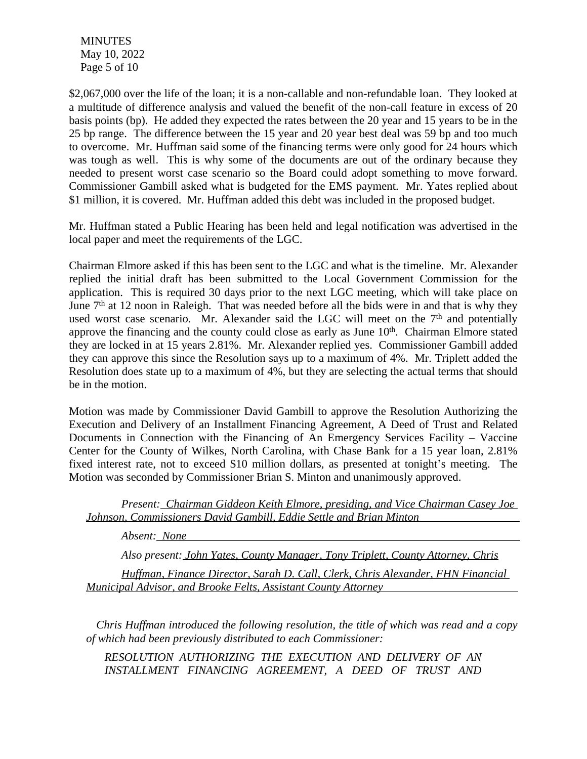**MINUTES**  May 10, 2022 Page 5 of 10

\$2,067,000 over the life of the loan; it is a non-callable and non-refundable loan. They looked at a multitude of difference analysis and valued the benefit of the non-call feature in excess of 20 basis points (bp). He added they expected the rates between the 20 year and 15 years to be in the 25 bp range. The difference between the 15 year and 20 year best deal was 59 bp and too much to overcome. Mr. Huffman said some of the financing terms were only good for 24 hours which was tough as well. This is why some of the documents are out of the ordinary because they needed to present worst case scenario so the Board could adopt something to move forward. Commissioner Gambill asked what is budgeted for the EMS payment. Mr. Yates replied about \$1 million, it is covered. Mr. Huffman added this debt was included in the proposed budget.

Mr. Huffman stated a Public Hearing has been held and legal notification was advertised in the local paper and meet the requirements of the LGC.

Chairman Elmore asked if this has been sent to the LGC and what is the timeline. Mr. Alexander replied the initial draft has been submitted to the Local Government Commission for the application. This is required 30 days prior to the next LGC meeting, which will take place on June 7<sup>th</sup> at 12 noon in Raleigh. That was needed before all the bids were in and that is why they used worst case scenario. Mr. Alexander said the LGC will meet on the  $7<sup>th</sup>$  and potentially approve the financing and the county could close as early as June 10<sup>th</sup>. Chairman Elmore stated they are locked in at 15 years 2.81%. Mr. Alexander replied yes. Commissioner Gambill added they can approve this since the Resolution says up to a maximum of 4%. Mr. Triplett added the Resolution does state up to a maximum of 4%, but they are selecting the actual terms that should be in the motion.

Motion was made by Commissioner David Gambill to approve the Resolution Authorizing the Execution and Delivery of an Installment Financing Agreement, A Deed of Trust and Related Documents in Connection with the Financing of An Emergency Services Facility – Vaccine Center for the County of Wilkes, North Carolina, with Chase Bank for a 15 year loan, 2.81% fixed interest rate, not to exceed \$10 million dollars, as presented at tonight's meeting. The Motion was seconded by Commissioner Brian S. Minton and unanimously approved.

*Present: Chairman Giddeon Keith Elmore, presiding, and Vice Chairman Casey Joe Johnson, Commissioners David Gambill, Eddie Settle and Brian Minton* 

*Absent: None* 

*Also present: John Yates, County Manager, Tony Triplett, County Attorney, Chris*

*Huffman, Finance Director, Sarah D. Call, Clerk, Chris Alexander, FHN Financial Municipal Advisor, and Brooke Felts, Assistant County Attorney* 

*Chris Huffman introduced the following resolution, the title of which was read and a copy of which had been previously distributed to each Commissioner:*

*RESOLUTION AUTHORIZING THE EXECUTION AND DELIVERY OF AN INSTALLMENT FINANCING AGREEMENT, A DEED OF TRUST AND*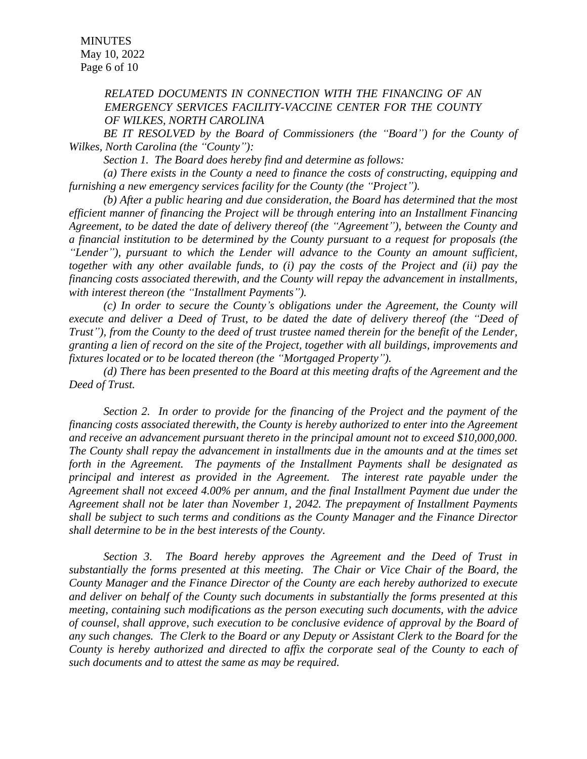**MINUTES**  May 10, 2022 Page 6 of 10

#### *RELATED DOCUMENTS IN CONNECTION WITH THE FINANCING OF AN EMERGENCY SERVICES FACILITY-VACCINE CENTER FOR THE COUNTY OF WILKES, NORTH CAROLINA*

*BE IT RESOLVED by the Board of Commissioners (the "Board") for the County of Wilkes, North Carolina (the "County"):*

*Section 1. The Board does hereby find and determine as follows:*

*(a) There exists in the County a need to finance the costs of constructing, equipping and furnishing a new emergency services facility for the County (the "Project").*

*(b) After a public hearing and due consideration, the Board has determined that the most efficient manner of financing the Project will be through entering into an Installment Financing Agreement, to be dated the date of delivery thereof (the "Agreement"), between the County and a financial institution to be determined by the County pursuant to a request for proposals (the "Lender"), pursuant to which the Lender will advance to the County an amount sufficient, together with any other available funds, to (i) pay the costs of the Project and (ii) pay the financing costs associated therewith, and the County will repay the advancement in installments, with interest thereon (the "Installment Payments").*

*(c) In order to secure the County's obligations under the Agreement, the County will execute and deliver a Deed of Trust, to be dated the date of delivery thereof (the "Deed of* Trust"), from the County to the deed of trust trustee named therein for the benefit of the Lender, *granting a lien of record on the site of the Project, together with all buildings, improvements and fixtures located or to be located thereon (the "Mortgaged Property").*

*(d) There has been presented to the Board at this meeting drafts of the Agreement and the Deed of Trust.*

*Section 2. In order to provide for the financing of the Project and the payment of the financing costs associated therewith, the County is hereby authorized to enter into the Agreement and receive an advancement pursuant thereto in the principal amount not to exceed \$10,000,000. The County shall repay the advancement in installments due in the amounts and at the times set forth in the Agreement. The payments of the Installment Payments shall be designated as principal and interest as provided in the Agreement. The interest rate payable under the Agreement shall not exceed 4.00% per annum, and the final Installment Payment due under the Agreement shall not be later than November 1, 2042. The prepayment of Installment Payments shall be subject to such terms and conditions as the County Manager and the Finance Director shall determine to be in the best interests of the County.*

*Section 3. The Board hereby approves the Agreement and the Deed of Trust in substantially the forms presented at this meeting. The Chair or Vice Chair of the Board, the County Manager and the Finance Director of the County are each hereby authorized to execute and deliver on behalf of the County such documents in substantially the forms presented at this meeting, containing such modifications as the person executing such documents, with the advice of counsel, shall approve, such execution to be conclusive evidence of approval by the Board of* any such changes. The Clerk to the Board or any Deputy or Assistant Clerk to the Board for the *County is hereby authorized and directed to affix the corporate seal of the County to each of such documents and to attest the same as may be required.*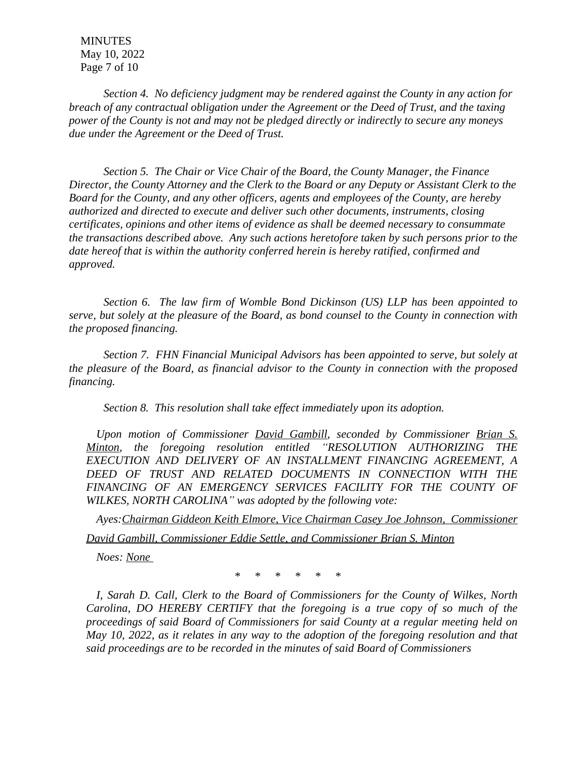**MINUTES**  May 10, 2022 Page 7 of 10

*Section 4. No deficiency judgment may be rendered against the County in any action for breach of any contractual obligation under the Agreement or the Deed of Trust, and the taxing power of the County is not and may not be pledged directly or indirectly to secure any moneys due under the Agreement or the Deed of Trust.*

*Section 5. The Chair or Vice Chair of the Board, the County Manager, the Finance Director, the County Attorney and the Clerk to the Board or any Deputy or Assistant Clerk to the Board for the County, and any other officers, agents and employees of the County, are hereby authorized and directed to execute and deliver such other documents, instruments, closing certificates, opinions and other items of evidence as shall be deemed necessary to consummate the transactions described above. Any such actions heretofore taken by such persons prior to the date hereof that is within the authority conferred herein is hereby ratified, confirmed and approved.*

*Section 6. The law firm of Womble Bond Dickinson (US) LLP has been appointed to serve, but solely at the pleasure of the Board, as bond counsel to the County in connection with the proposed financing.*

*Section 7. FHN Financial Municipal Advisors has been appointed to serve, but solely at the pleasure of the Board, as financial advisor to the County in connection with the proposed financing.*

*Section 8. This resolution shall take effect immediately upon its adoption.*

*Upon motion of Commissioner David Gambill, seconded by Commissioner Brian S. Minton, the foregoing resolution entitled "RESOLUTION AUTHORIZING THE EXECUTION AND DELIVERY OF AN INSTALLMENT FINANCING AGREEMENT, A DEED OF TRUST AND RELATED DOCUMENTS IN CONNECTION WITH THE FINANCING OF AN EMERGENCY SERVICES FACILITY FOR THE COUNTY OF WILKES, NORTH CAROLINA" was adopted by the following vote:*

*Ayes:Chairman Giddeon Keith Elmore, Vice Chairman Casey Joe Johnson, Commissioner David Gambill, Commissioner Eddie Settle, and Commissioner Brian S. Minton*

*Noes: None* 

 *\* \* \* \* \* \**

*I, Sarah D. Call, Clerk to the Board of Commissioners for the County of Wilkes, North Carolina, DO HEREBY CERTIFY that the foregoing is a true copy of so much of the proceedings of said Board of Commissioners for said County at a regular meeting held on May 10, 2022, as it relates in any way to the adoption of the foregoing resolution and that said proceedings are to be recorded in the minutes of said Board of Commissioners*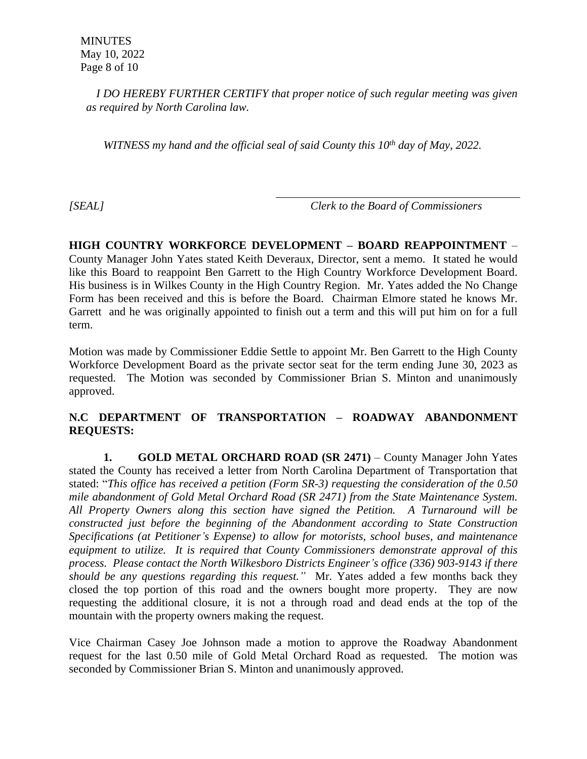*I DO HEREBY FURTHER CERTIFY that proper notice of such regular meeting was given as required by North Carolina law.*

*WITNESS my hand and the official seal of said County this 10th day of May, 2022.*

*[SEAL] Clerk to the Board of Commissioners*

**HIGH COUNTRY WORKFORCE DEVELOPMENT – BOARD REAPPOINTMENT** – County Manager John Yates stated Keith Deveraux, Director, sent a memo. It stated he would like this Board to reappoint Ben Garrett to the High Country Workforce Development Board. His business is in Wilkes County in the High Country Region. Mr. Yates added the No Change Form has been received and this is before the Board. Chairman Elmore stated he knows Mr. Garrett and he was originally appointed to finish out a term and this will put him on for a full term.

Motion was made by Commissioner Eddie Settle to appoint Mr. Ben Garrett to the High County Workforce Development Board as the private sector seat for the term ending June 30, 2023 as requested. The Motion was seconded by Commissioner Brian S. Minton and unanimously approved.

## **N.C DEPARTMENT OF TRANSPORTATION – ROADWAY ABANDONMENT REQUESTS:**

**1. GOLD METAL ORCHARD ROAD (SR 2471)** – County Manager John Yates stated the County has received a letter from North Carolina Department of Transportation that stated: "*This office has received a petition (Form SR-3) requesting the consideration of the 0.50 mile abandonment of Gold Metal Orchard Road (SR 2471) from the State Maintenance System. All Property Owners along this section have signed the Petition. A Turnaround will be constructed just before the beginning of the Abandonment according to State Construction Specifications (at Petitioner's Expense) to allow for motorists, school buses, and maintenance equipment to utilize. It is required that County Commissioners demonstrate approval of this process. Please contact the North Wilkesboro Districts Engineer's office (336) 903-9143 if there should be any questions regarding this request."* Mr. Yates added a few months back they closed the top portion of this road and the owners bought more property. They are now requesting the additional closure, it is not a through road and dead ends at the top of the mountain with the property owners making the request.

Vice Chairman Casey Joe Johnson made a motion to approve the Roadway Abandonment request for the last 0.50 mile of Gold Metal Orchard Road as requested. The motion was seconded by Commissioner Brian S. Minton and unanimously approved.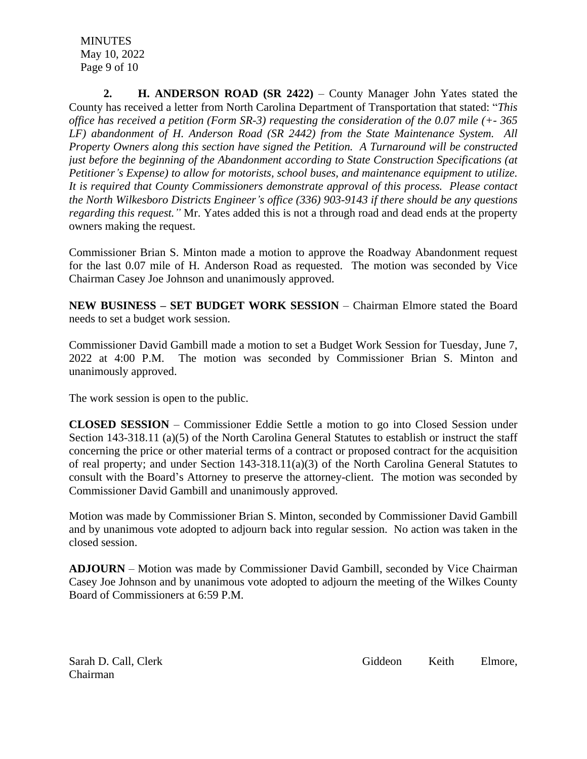**MINUTES**  May 10, 2022 Page 9 of 10

**2. H. ANDERSON ROAD (SR 2422)** – County Manager John Yates stated the County has received a letter from North Carolina Department of Transportation that stated: "*This office has received a petition (Form SR-3) requesting the consideration of the 0.07 mile (+- 365 LF) abandonment of H. Anderson Road (SR 2442) from the State Maintenance System. All Property Owners along this section have signed the Petition. A Turnaround will be constructed just before the beginning of the Abandonment according to State Construction Specifications (at Petitioner's Expense) to allow for motorists, school buses, and maintenance equipment to utilize. It is required that County Commissioners demonstrate approval of this process. Please contact the North Wilkesboro Districts Engineer's office (336) 903-9143 if there should be any questions regarding this request."* Mr. Yates added this is not a through road and dead ends at the property owners making the request.

Commissioner Brian S. Minton made a motion to approve the Roadway Abandonment request for the last 0.07 mile of H. Anderson Road as requested. The motion was seconded by Vice Chairman Casey Joe Johnson and unanimously approved.

**NEW BUSINESS – SET BUDGET WORK SESSION** – Chairman Elmore stated the Board needs to set a budget work session.

Commissioner David Gambill made a motion to set a Budget Work Session for Tuesday, June 7, 2022 at 4:00 P.M. The motion was seconded by Commissioner Brian S. Minton and unanimously approved.

The work session is open to the public.

**CLOSED SESSION** – Commissioner Eddie Settle a motion to go into Closed Session under Section 143-318.11 (a)(5) of the North Carolina General Statutes to establish or instruct the staff concerning the price or other material terms of a contract or proposed contract for the acquisition of real property; and under Section 143-318.11(a)(3) of the North Carolina General Statutes to consult with the Board's Attorney to preserve the attorney-client. The motion was seconded by Commissioner David Gambill and unanimously approved.

Motion was made by Commissioner Brian S. Minton, seconded by Commissioner David Gambill and by unanimous vote adopted to adjourn back into regular session. No action was taken in the closed session.

**ADJOURN** – Motion was made by Commissioner David Gambill, seconded by Vice Chairman Casey Joe Johnson and by unanimous vote adopted to adjourn the meeting of the Wilkes County Board of Commissioners at 6:59 P.M.

Chairman

Sarah D. Call, Clerk Giddeon Keith Elmore,